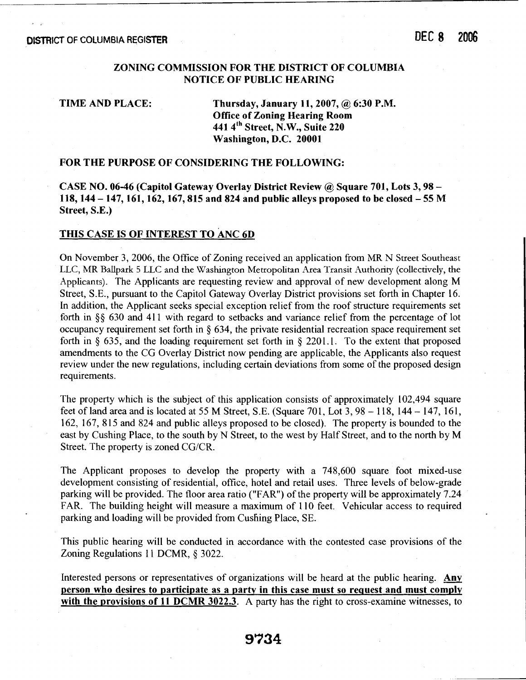### **ZONING COMMISSION FOR THE DISTRICT OF COLUMBIA NOTICE OP PUBLIC HEARING**

**TIME AND PLACE:** Thursday, January 11, 2007, @ 6:30 P.M. **Office of Zoning Hearing Room 441 4th Street, N.W., Suite 220 Washington, D.C. 20001** 

### **FOR THE PURPOSE OF CONSIDERING THE FOLLOWING:**

**CASE NO. 06-46 (Capitol Gateway Overlay District Review** @ **Square 701, Lots 3,98** - **118,144** - **147,161,162,167,815 and 824 and public alleys proposed to be closed** - **55 M Street, S.E.)** 

#### **THIS CASE IS OF INTEREST TO ANC 6D**

On November 3, 2006, the Office of Zoning received an application from MR N Street Southeast LLC, MR Ballpark 5 LLC and the Washington Metropolitan Area Transit Authority (collectively, the Applicants). The Applicants are requesting review and approval of new development along M Street, S.E., pursuant to the Capitol Gateway Overlay District provisions set forth in Chapter 16. In addition, the Applicant seeks special exception relief from the roof structure requirements set forth in *\$5* 630 and 41 1 with regard to setbacks and variance relief from the percentage of lot occupancy requirement set forth in  $\delta$  634, the private residential recreation space requirement set forth in  $\S$  635, and the loading requirement set forth in  $\S$  2201.1. To the extent that proposed amendments to the CG Overlay District now pending are applicable, the Applicants also request review under the new regulations, including certain deviations from some of the proposed design requirements.

The property which is the subject of this application consists of approximately 102,494 square feet of land area and is located at 55 M Street, S.E. (Square 701, Lot 3,98 - 118, 144 - 147, 161, 162, 167, 8 15 and 824 and public alleys proposed to be closed). The property is bounded to the east by Cushing Place, to the south by N Street, to the west by Half Street, and to the north by M Street. The property is zoned CG/CR.

The Applicant proposes to develop the property with a 748,600 square foot mixed-use development consisting of residential, office, hotel and retail uses. Three levels of below-grade parking will be provided. The floor area ratio ("FAR") of the property will be approximately 7.24 FAR. The building height will measure a maximum of 110 feet. Vehicular access to required parking and loading will be provided from Cushing Place, SE.

This public hearing will be conducted in accordance with the contested case provisions of the Zoning Regulations 11 DCMR, \$ 3022.

Interested persons or representatives of organizations will be heard at the public hearing. Any **person who desires to participate as a party in this case must so request and must comply with the provisions of 11 DCMR 3022.3.** A party has the right to cross-examine witnesses, to

# 9734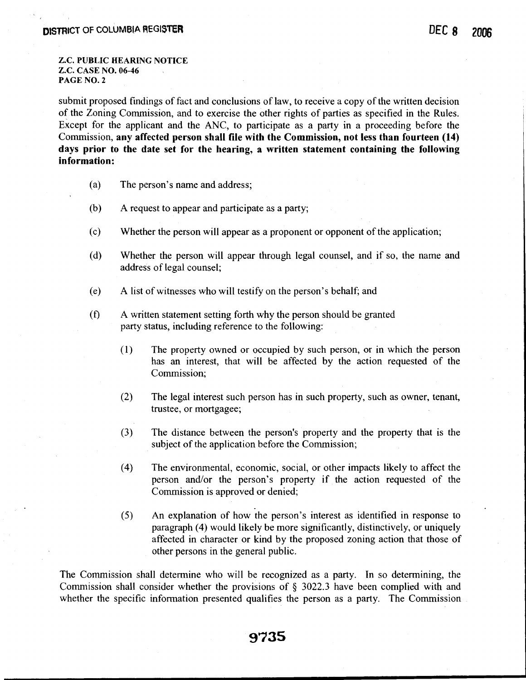**Z.C. PUBLIC HEARING NOTICE Z.C. CASE NO. 06-46 PAGE NO. 2** 

submit proposed findings of fact and conclusions of law, to receive a copy of the written decision of the Zoning Commission, and to exercise the other rights of parties as specified in the Rules. Except for the applicant and the ANC, to participate as a party in a proceeding before the Commission, **any affected person shall file with the Commission, not less than fourteen (14) days prior to the date set for the hearing, a written statement containing the following information:** 

- (a) The person's name and address;
- (b) A request to appear and participate as a party;
- (c) Whether the person will appear as a proponent or opponent of the application;
- (d) Whether the person will appear through legal counsel, and if so, the name and address of legal counsel;
- (e) A list of witnesses who will testify on the person's behalf; and
- **(f)** A written statement setting forth why the person should be granted party status, including reference to the following:
	- **(1)** The property owned or occupied by such person, or in which the person has an interest, that will be affected by the action requested of the Commission;
	- (2) The legal interest such person has in such property, such as owner, tenant, trustee, or mortgagee;
	- (3) The distance between the person's property and the property that is the subject of the application before the Commission;
	- (4) The environmental, economic, social, or other impacts likely to affect the person and/or the person's property if the action requested of the Commission is approved or denied;
	- **(5)** An explanation of how the person's interest as identified in response to paragraph (4) would likely be more significantly, distinctively, or uniquely affected in character or kind by the proposed zoning action that those of other persons in the general public.

The Commission shall determine who will be recognized as a party. In so determining, the Commission shall consider whether the provisions of *5* 3022.3 have been complied with and whether the specific information presented qualifies the person as a party. The Commission

## 9735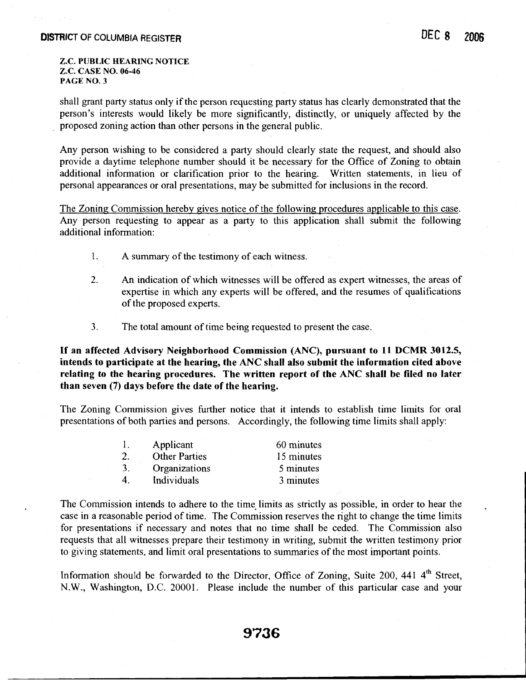#### **Z.C. PUBLIC HEARING NOTICE Z.C. CASE NO. 06-46 PAGE NO. 3**

shall grant party status only if the person requesting party status has clearly demonstrated that the person's interests would likely be more significantly, distinctly, or uniquely affected by the proposed zoning action than other persons in the general public.

Any person wishing to be considered a party should clearly state the request, and should also provide a daytime telephone number should it be necessary for the Office of Zoning to obtain additional information or clarification prior to the hearing. Written statements, in lieu of personal appearances or oral presentations, may be submitted for inclusions in the record.

The Zoning Commission hereby gives notice of the following procedures applicable to this case. Any person requesting to appear as a party to this application shall submit the following additional information:

- 1. A summary of the testimony of each witness.
- 2. An indication of which witnesses will be offered as expert witnesses, the areas of expertise in which any experts will be offered, and the resumes of qualifications of the proposed experts.
- **3.** The total amount of time being requested to present the case.

**If an affected Advisory Neighborhood Commission (ANC), pursuant to 11 DCMR 3012.5, intends to participate at the hearing, the ANC shall also submit the information cited above relating to the hearing procedures. The written report of the ANC shall be filed no later than seven (7) days before the date of the hearing.** 

The Zoning Commission gives further notice that it intends to establish time limits for oral presentations of both parties and persons. Accordingly, the following time limits shall apply:

| Ι. | Applicant            | 60 minutes |
|----|----------------------|------------|
| 2. | <b>Other Parties</b> | 15 minutes |
| 3. | Organizations        | 5 minutes  |
| 4  | Individuals          | 3 minutes  |

The Commission intends to adhere to the time limits as strictly as possible, in order to hear the case in a reasonable period of time. The Commission reserves the right to change the time limits for presentations if necessary and notes that no time shall be ceded. The Commission also requests that all witnesses prepare their testimony in writing, submit the written testimony prior to giving statements, and limit oral presentations to summaries of the most important points.

Information should be forwarded to the Director, Office of Zoning, Suite 200, 441 4<sup>th</sup> Street, N.W., Washington, D.C. 20001. Please include the number of this particular case and your